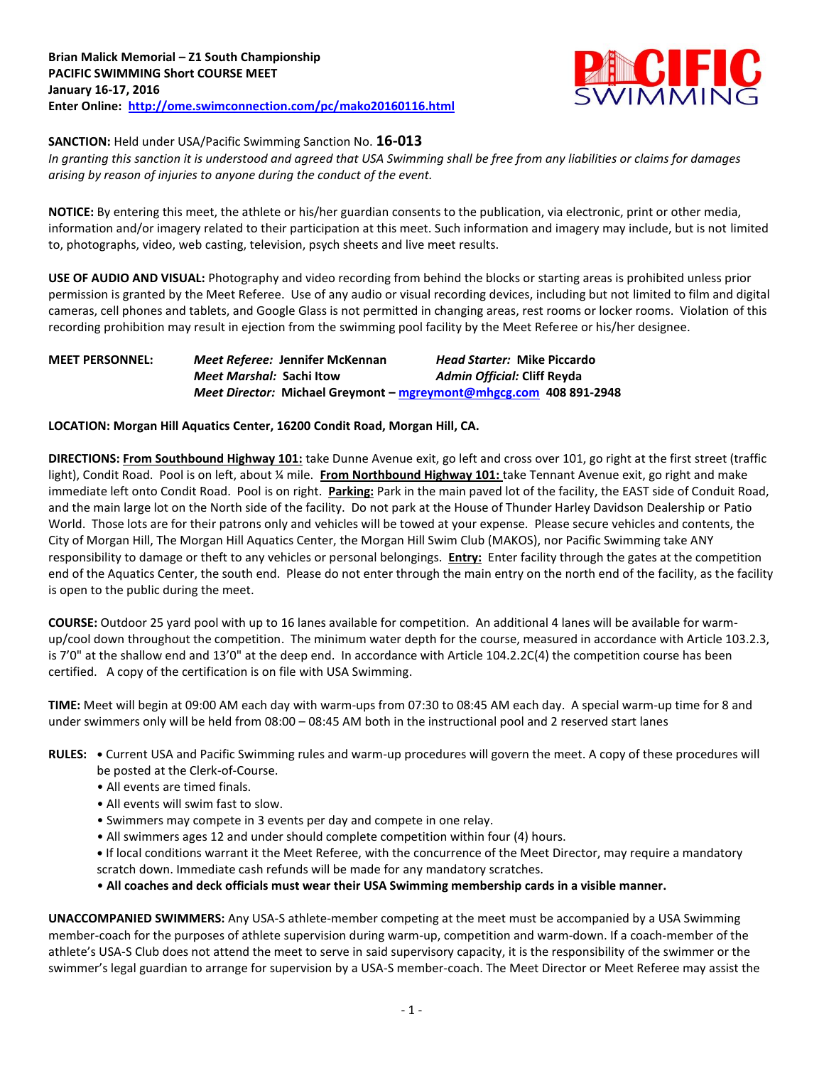

## **SANCTION:** Held under USA/Pacific Swimming Sanction No. **16-013**

*In granting this sanction it is understood and agreed that USA Swimming shall be free from any liabilities or claims for damages arising by reason of injuries to anyone during the conduct of the event.*

**NOTICE:** By entering this meet, the athlete or his/her guardian consents to the publication, via electronic, print or other media, information and/or imagery related to their participation at this meet. Such information and imagery may include, but is not limited to, photographs, video, web casting, television, psych sheets and live meet results.

**USE OF AUDIO AND VISUAL:** Photography and video recording from behind the blocks or starting areas is prohibited unless prior permission is granted by the Meet Referee. Use of any audio or visual recording devices, including but not limited to film and digital cameras, cell phones and tablets, and Google Glass is not permitted in changing areas, rest rooms or locker rooms. Violation of this recording prohibition may result in ejection from the swimming pool facility by the Meet Referee or his/her designee.

# **MEET PERSONNEL:** *Meet Referee:* **Jennifer McKennan** *Head Starter:* **Mike Piccardo** *Meet Marshal:* **Sachi Itow** *Admin Official:* **Cliff Reyda** *Meet Director:* **Michael Greymont – [mgreymont@mhgcg.com](mailto:mgreymont@mhgcg.com) 408 891-2948**

## **LOCATION: Morgan Hill Aquatics Center, 16200 Condit Road, Morgan Hill, CA.**

**DIRECTIONS: From Southbound Highway 101:** take Dunne Avenue exit, go left and cross over 101, go right at the first street (traffic light), Condit Road. Pool is on left, about ¼ mile. **From Northbound Highway 101:** take Tennant Avenue exit, go right and make immediate left onto Condit Road. Pool is on right. **Parking:** Park in the main paved lot of the facility, the EAST side of Conduit Road, and the main large lot on the North side of the facility. Do not park at the House of Thunder Harley Davidson Dealership or Patio World. Those lots are for their patrons only and vehicles will be towed at your expense. Please secure vehicles and contents, the City of Morgan Hill, The Morgan Hill Aquatics Center, the Morgan Hill Swim Club (MAKOS), nor Pacific Swimming take ANY responsibility to damage or theft to any vehicles or personal belongings. **Entry:** Enter facility through the gates at the competition end of the Aquatics Center, the south end. Please do not enter through the main entry on the north end of the facility, as the facility is open to the public during the meet.

**COURSE:** Outdoor 25 yard pool with up to 16 lanes available for competition. An additional 4 lanes will be available for warmup/cool down throughout the competition. The minimum water depth for the course, measured in accordance with Article 103.2.3, is 7'0" at the shallow end and 13'0" at the deep end. In accordance with Article 104.2.2C(4) the competition course has been certified. A copy of the certification is on file with USA Swimming.

**TIME:** Meet will begin at 09:00 AM each day with warm-ups from 07:30 to 08:45 AM each day. A special warm-up time for 8 and under swimmers only will be held from 08:00 – 08:45 AM both in the instructional pool and 2 reserved start lanes

- **RULES: •** Current USA and Pacific Swimming rules and warm-up procedures will govern the meet. A copy of these procedures will
	- be posted at the Clerk-of-Course.
	- All events are timed finals.
	- All events will swim fast to slow.
	- Swimmers may compete in 3 events per day and compete in one relay.
	- All swimmers ages 12 and under should complete competition within four (4) hours.
	- **•** If local conditions warrant it the Meet Referee, with the concurrence of the Meet Director, may require a mandatory scratch down. Immediate cash refunds will be made for any mandatory scratches.
	- **All coaches and deck officials must wear their USA Swimming membership cards in a visible manner.**

**UNACCOMPANIED SWIMMERS:** Any USA-S athlete-member competing at the meet must be accompanied by a USA Swimming member-coach for the purposes of athlete supervision during warm-up, competition and warm-down. If a coach-member of the athlete's USA-S Club does not attend the meet to serve in said supervisory capacity, it is the responsibility of the swimmer or the swimmer's legal guardian to arrange for supervision by a USA-S member-coach. The Meet Director or Meet Referee may assist the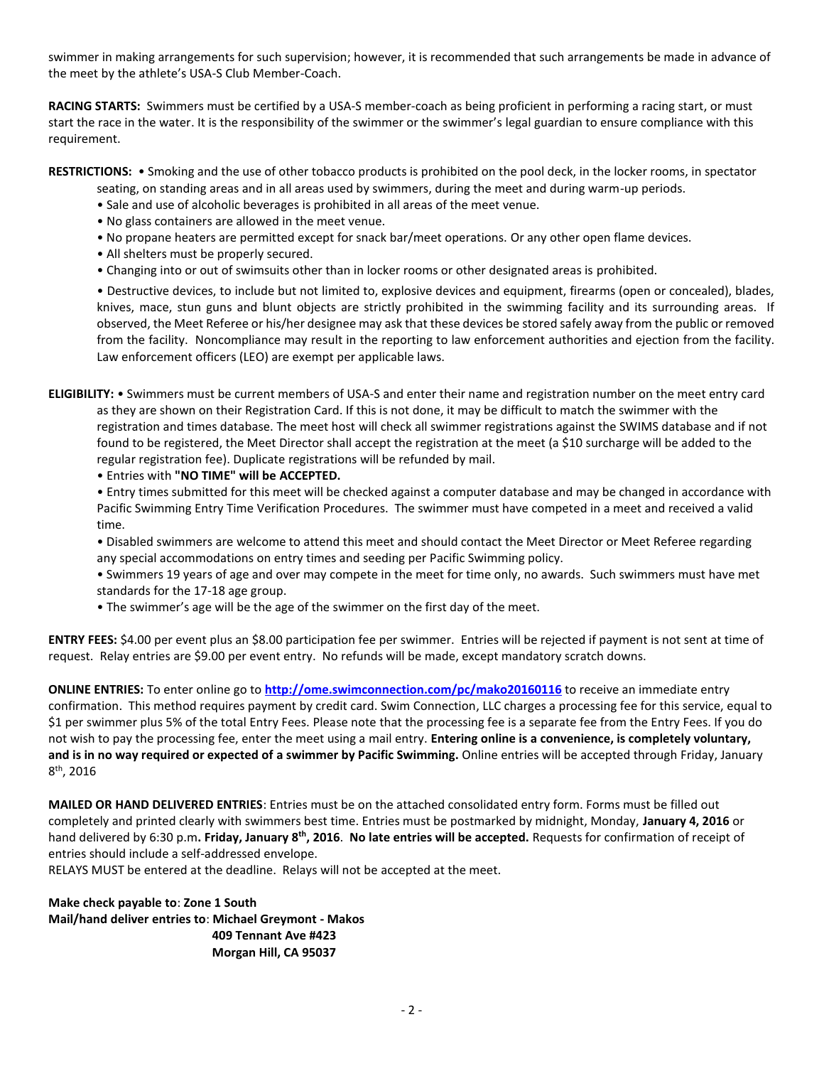swimmer in making arrangements for such supervision; however, it is recommended that such arrangements be made in advance of the meet by the athlete's USA-S Club Member-Coach.

**RACING STARTS:** Swimmers must be certified by a USA-S member-coach as being proficient in performing a racing start, or must start the race in the water. It is the responsibility of the swimmer or the swimmer's legal guardian to ensure compliance with this requirement.

**RESTRICTIONS:** • Smoking and the use of other tobacco products is prohibited on the pool deck, in the locker rooms, in spectator

- seating, on standing areas and in all areas used by swimmers, during the meet and during warm-up periods.
- Sale and use of alcoholic beverages is prohibited in all areas of the meet venue.
- No glass containers are allowed in the meet venue.
- No propane heaters are permitted except for snack bar/meet operations. Or any other open flame devices.
- All shelters must be properly secured.
- Changing into or out of swimsuits other than in locker rooms or other designated areas is prohibited.

• Destructive devices, to include but not limited to, explosive devices and equipment, firearms (open or concealed), blades, knives, mace, stun guns and blunt objects are strictly prohibited in the swimming facility and its surrounding areas. If observed, the Meet Referee or his/her designee may ask that these devices be stored safely away from the public or removed from the facility. Noncompliance may result in the reporting to law enforcement authorities and ejection from the facility. Law enforcement officers (LEO) are exempt per applicable laws.

**ELIGIBILITY:** • Swimmers must be current members of USA-S and enter their name and registration number on the meet entry card as they are shown on their Registration Card. If this is not done, it may be difficult to match the swimmer with the registration and times database. The meet host will check all swimmer registrations against the SWIMS database and if not found to be registered, the Meet Director shall accept the registration at the meet (a \$10 surcharge will be added to the regular registration fee). Duplicate registrations will be refunded by mail.

• Entries with **"NO TIME" will be ACCEPTED.**

• Entry times submitted for this meet will be checked against a computer database and may be changed in accordance with Pacific Swimming Entry Time Verification Procedures. The swimmer must have competed in a meet and received a valid time.

- Disabled swimmers are welcome to attend this meet and should contact the Meet Director or Meet Referee regarding any special accommodations on entry times and seeding per Pacific Swimming policy.
- Swimmers 19 years of age and over may compete in the meet for time only, no awards. Such swimmers must have met standards for the 17-18 age group.
- The swimmer's age will be the age of the swimmer on the first day of the meet.

**ENTRY FEES:** \$4.00 per event plus an \$8.00 participation fee per swimmer. Entries will be rejected if payment is not sent at time of request. Relay entries are \$9.00 per event entry. No refunds will be made, except mandatory scratch downs.

**ONLINE ENTRIES:** To enter online go to **<http://ome.swimconnection.com/pc/mako20160116>** to receive an immediate entry confirmation. This method requires payment by credit card. Swim Connection, LLC charges a processing fee for this service, equal to \$1 per swimmer plus 5% of the total Entry Fees. Please note that the processing fee is a separate fee from the Entry Fees. If you do not wish to pay the processing fee, enter the meet using a mail entry. **Entering online is a convenience, is completely voluntary, and is in no way required or expected of a swimmer by Pacific Swimming.** Online entries will be accepted through Friday, January 8<sup>th</sup>, 2016

**MAILED OR HAND DELIVERED ENTRIES**: Entries must be on the attached consolidated entry form. Forms must be filled out completely and printed clearly with swimmers best time. Entries must be postmarked by midnight, Monday, **January 4, 2016** or hand delivered by 6:30 p.m**. Friday, January 8th , 2016**. **No late entries will be accepted.** Requests for confirmation of receipt of entries should include a self-addressed envelope.

RELAYS MUST be entered at the deadline. Relays will not be accepted at the meet.

**Make check payable to**: **Zone 1 South Mail/hand deliver entries to**: **Michael Greymont - Makos 409 Tennant Ave #423 Morgan Hill, CA 95037**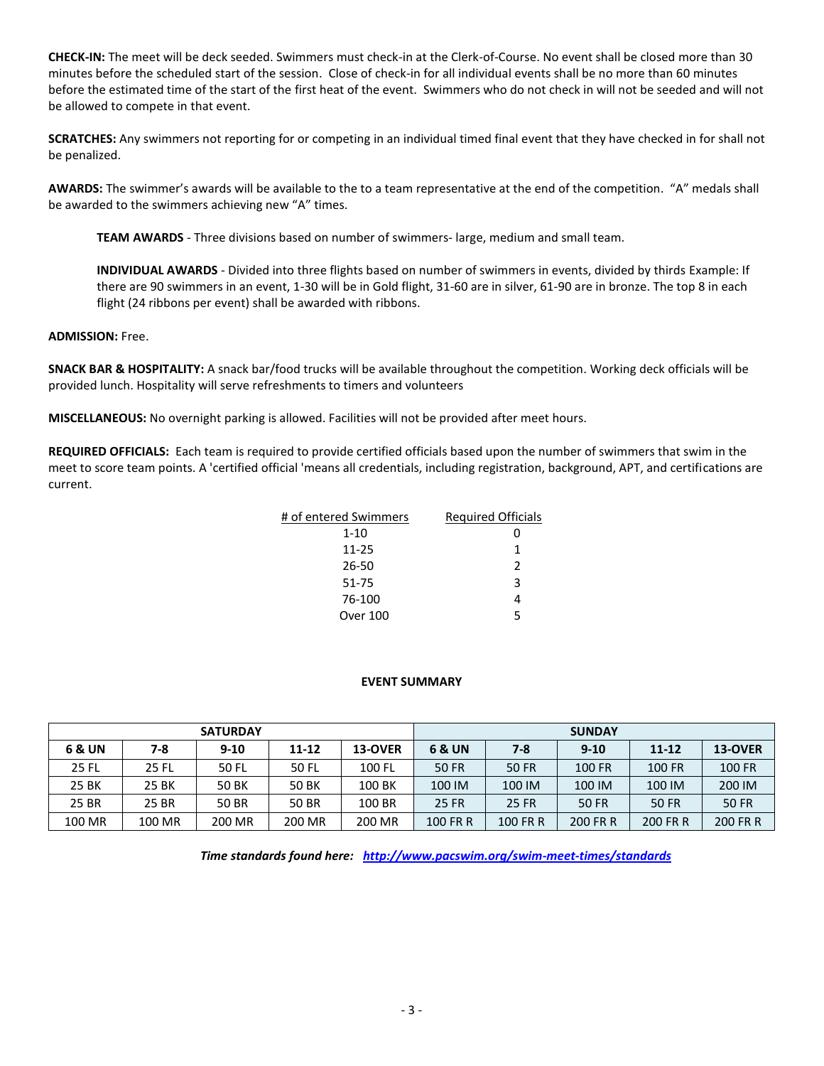**CHECK-IN:** The meet will be deck seeded. Swimmers must check-in at the Clerk-of-Course. No event shall be closed more than 30 minutes before the scheduled start of the session. Close of check-in for all individual events shall be no more than 60 minutes before the estimated time of the start of the first heat of the event. Swimmers who do not check in will not be seeded and will not be allowed to compete in that event.

**SCRATCHES:** Any swimmers not reporting for or competing in an individual timed final event that they have checked in for shall not be penalized.

**AWARDS:** The swimmer's awards will be available to the to a team representative at the end of the competition. "A" medals shall be awarded to the swimmers achieving new "A" times.

**TEAM AWARDS** - Three divisions based on number of swimmers- large, medium and small team.

**INDIVIDUAL AWARDS** - Divided into three flights based on number of swimmers in events, divided by thirds Example: If there are 90 swimmers in an event, 1-30 will be in Gold flight, 31-60 are in silver, 61-90 are in bronze. The top 8 in each flight (24 ribbons per event) shall be awarded with ribbons.

#### **ADMISSION:** Free.

**SNACK BAR & HOSPITALITY:** A snack bar/food trucks will be available throughout the competition. Working deck officials will be provided lunch. Hospitality will serve refreshments to timers and volunteers

**MISCELLANEOUS:** No overnight parking is allowed. Facilities will not be provided after meet hours.

**REQUIRED OFFICIALS:** Each team is required to provide certified officials based upon the number of swimmers that swim in the meet to score team points. A 'certified official 'means all credentials, including registration, background, APT, and certifications are current.

| # of entered Swimmers | <b>Required Officials</b> |
|-----------------------|---------------------------|
| 1-10                  |                           |
| $11 - 25$             | 1                         |
| 26-50                 | $\mathcal{P}$             |
| 51-75                 | 3                         |
| 76-100                |                           |
| Over 100              | 5                         |

## **EVENT SUMMARY**

| <b>SATURDAY</b> |        |          |              |         | <b>SUNDAY</b> |          |          |           |              |  |
|-----------------|--------|----------|--------------|---------|---------------|----------|----------|-----------|--------------|--|
| 6 & UN          | 7-8    | $9 - 10$ | 11-12        | 13-OVER | 6 & UN        | $7 - 8$  | $9 - 10$ | $11 - 12$ | 13-OVER      |  |
| 25 FL           | 25 FL  | 50 FL    | 50 FL        | 100 FL  | 50 FR         | 50 FR    | 100 FR   | 100 FR    | 100 FR       |  |
| 25 BK           | 25 BK  | 50 BK    | <b>50 BK</b> | 100 BK  | 100 IM        | 100 IM   | 100 IM   | 100 IM    | 200 IM       |  |
| 25 BR           | 25 BR  | 50 BR    | 50 BR        | 100 BR  | <b>25 FR</b>  | 25 FR    | 50 FR    | 50 FR     | <b>50 FR</b> |  |
| 100 MR          | 100 MR | 200 MR   | 200 MR       | 200 MR  | 100 FR R      | 100 FR R | 200 FR R | 200 FR R  | 200 FR R     |  |

*Time standards found here: <http://www.pacswim.org/swim-meet-times/standards>*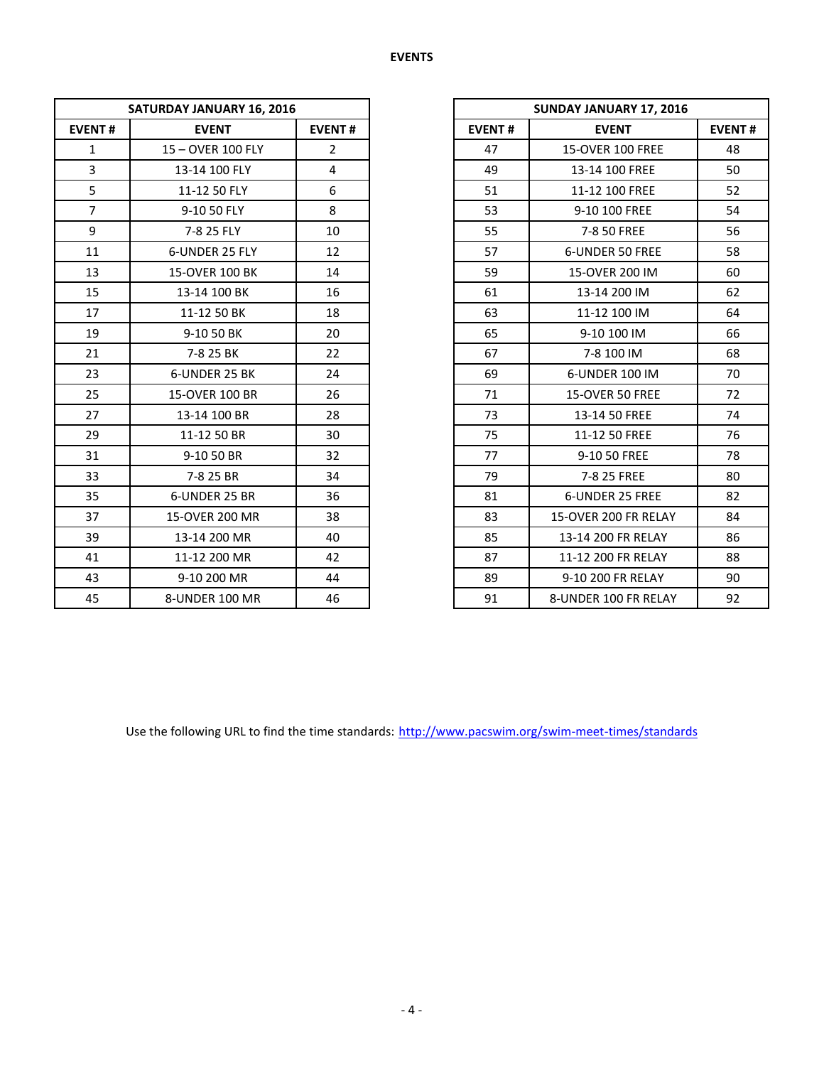|                | <b>SATURDAY JANUARY 16, 2016</b> |                |               | SUNDAY JANUARY 17, 2016 |
|----------------|----------------------------------|----------------|---------------|-------------------------|
| <b>EVENT#</b>  | <b>EVENT</b>                     | <b>EVENT#</b>  | <b>EVENT#</b> | <b>EVENT</b>            |
| $\mathbf{1}$   | 15 - OVER 100 FLY                | $\overline{2}$ | 47            | <b>15-OVER 100 FREE</b> |
| $\overline{3}$ | 13-14 100 FLY                    | $\overline{4}$ | 49            | 13-14 100 FREE          |
| 5              | 11-12 50 FLY                     | 6              | 51            | 11-12 100 FREE          |
| $\overline{7}$ | 9-10 50 FLY                      | 8              | 53            | 9-10 100 FREE           |
| 9              | 7-8 25 FLY                       | 10             | 55            | 7-8 50 FREE             |
| 11             | 6-UNDER 25 FLY                   | 12             | 57            | 6-UNDER 50 FREE         |
| 13             | 15-OVER 100 BK                   | 14             | 59            | 15-OVER 200 IM          |
| 15             | 13-14 100 BK                     | 16             | 61            | 13-14 200 IM            |
| 17             | 11-12 50 BK                      | 18             | 63            | 11-12 100 IM            |
| 19             | 9-10 50 BK                       | 20             | 65            | 9-10 100 IM             |
| 21             | 7-8 25 BK                        | 22             | 67            | 7-8 100 IM              |
| 23             | 6-UNDER 25 BK                    | 24             | 69            | 6-UNDER 100 IM          |
| 25             | 15-OVER 100 BR                   | 26             | 71            | 15-OVER 50 FREE         |
| 27             | 13-14 100 BR                     | 28             | 73            | 13-14 50 FREE           |
| 29             | 11-12 50 BR                      | 30             | 75            | 11-12 50 FREE           |
| 31             | 9-10 50 BR                       | 32             | 77            | 9-10 50 FREE            |
| 33             | 7-8 25 BR                        | 34             | 79            | 7-8 25 FREE             |
| 35             | 6-UNDER 25 BR                    | 36             | 81            | 6-UNDER 25 FREE         |
| 37             | 15-OVER 200 MR                   | 38             | 83            | 15-OVER 200 FR RELAY    |
| 39             | 13-14 200 MR                     | 40             | 85            | 13-14 200 FR RELAY      |
| 41             | 11-12 200 MR                     | 42             | 87            | 11-12 200 FR RELAY      |
| 43             | 9-10 200 MR                      | 44             | 89            | 9-10 200 FR RELAY       |
| 45             | 8-UNDER 100 MR                   | 46             | 91            | 8-UNDER 100 FR RELAY    |

|                | SATURDAY JANUARY 16, 2016 |                | SUNDAY JANUARY 17, 2016 |                         |               |
|----------------|---------------------------|----------------|-------------------------|-------------------------|---------------|
| <b>EVENT#</b>  | <b>EVENT</b>              | <b>EVENT#</b>  | <b>EVENT#</b>           | <b>EVENT</b>            | <b>EVENT#</b> |
| $\mathbf{1}$   | 15 - OVER 100 FLY         | $\overline{2}$ | 47                      | <b>15-OVER 100 FREE</b> | 48            |
| 3              | 13-14 100 FLY             | 4              | 49                      | 13-14 100 FREE          | 50            |
| 5              | 11-12 50 FLY              | 6              | 51                      | 11-12 100 FREE          | 52            |
| $\overline{7}$ | 9-10 50 FLY               | 8              | 53                      | 9-10 100 FREE           | 54            |
| 9              | 7-8 25 FLY                | 10             | 55                      | 7-8 50 FREE             | 56            |
| 11             | 6-UNDER 25 FLY            | 12             | 57                      | 6-UNDER 50 FREE         | 58            |
| 13             | 15-OVER 100 BK            | 14             | 59                      | 15-OVER 200 IM          | 60            |
| 15             | 13-14 100 BK              | 16             | 61                      | 13-14 200 IM            | 62            |
| 17             | 11-12 50 BK               | 18             | 63                      | 11-12 100 IM            | 64            |
| 19             | 9-10 50 BK                | 20             | 65                      | 9-10 100 IM             | 66            |
| 21             | 7-8 25 BK                 | 22             | 67                      | 7-8 100 IM              | 68            |
| 23             | 6-UNDER 25 BK             | 24             | 69                      | 6-UNDER 100 IM          | 70            |
| 25             | 15-OVER 100 BR            | 26             | 71                      | 15-OVER 50 FREE         | 72            |
| 27             | 13-14 100 BR              | 28             | 73                      | 13-14 50 FREE           | 74            |
| 29             | 11-12 50 BR               | 30             | 75                      | 11-12 50 FREE           | 76            |
| 31             | 9-10 50 BR                | 32             | 77                      | 9-10 50 FREE            | 78            |
| 33             | 7-8 25 BR                 | 34             | 79                      | 7-8 25 FREE             | 80            |
| 35             | 6-UNDER 25 BR             | 36             | 81                      | 6-UNDER 25 FREE         | 82            |
| 37             | 15-OVER 200 MR            | 38             | 83                      | 15-OVER 200 FR RELAY    | 84            |
| 39             | 13-14 200 MR              | 40             | 85                      | 13-14 200 FR RELAY      | 86            |
| 41             | 11-12 200 MR              | 42             | 87                      | 11-12 200 FR RELAY      | 88            |
| 43             | 9-10 200 MR               | 44             | 89                      | 9-10 200 FR RELAY       | 90            |
| 45             | 8-UNDER 100 MR            | 46             | 91                      | 8-UNDER 100 FR RELAY    | 92            |

Use the following URL to find the time standards: <http://www.pacswim.org/swim-meet-times/standards>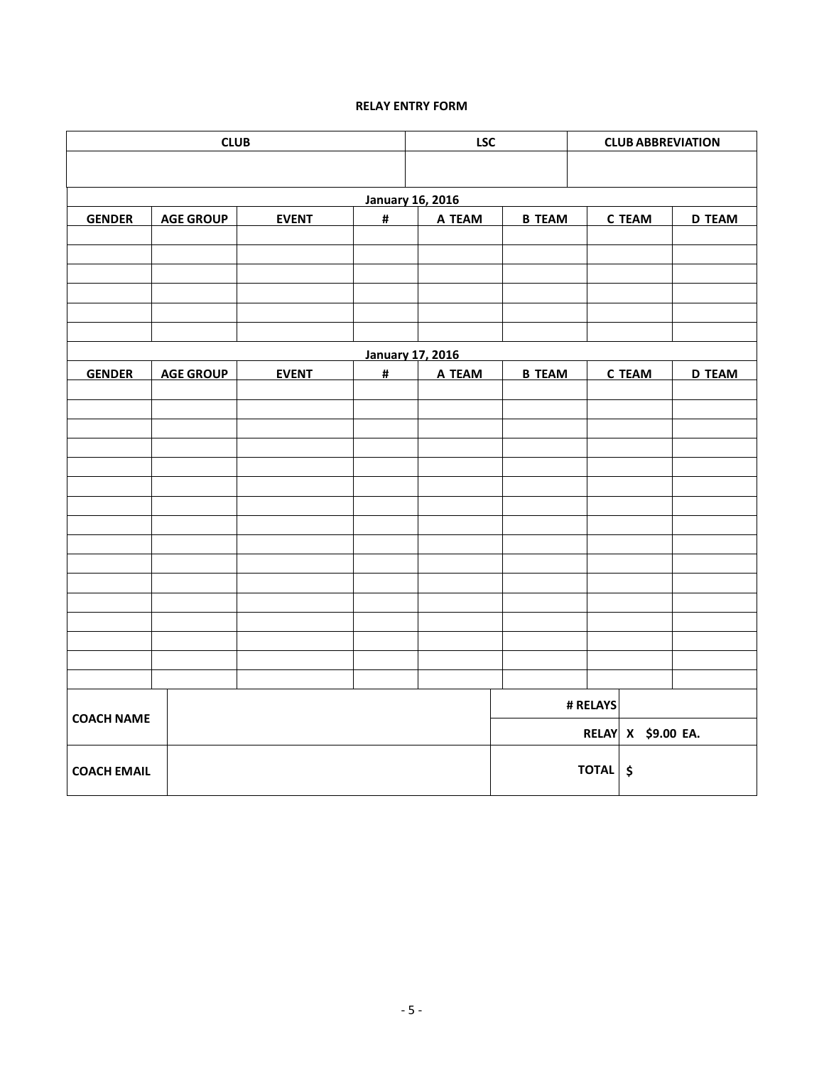# **RELAY ENTRY FORM**

| <b>CLUB</b>        |                  |              |                | <b>LSC</b>              | <b>CLUB ABBREVIATION</b> |          |                    |               |
|--------------------|------------------|--------------|----------------|-------------------------|--------------------------|----------|--------------------|---------------|
|                    |                  |              |                |                         |                          |          |                    |               |
|                    |                  |              |                | <b>January 16, 2016</b> |                          |          |                    |               |
| <b>GENDER</b>      | <b>AGE GROUP</b> | <b>EVENT</b> | $\pmb{\sharp}$ | A TEAM                  | <b>B TEAM</b>            |          | <b>C TEAM</b>      | <b>D TEAM</b> |
|                    |                  |              |                |                         |                          |          |                    |               |
|                    |                  |              |                |                         |                          |          |                    |               |
|                    |                  |              |                |                         |                          |          |                    |               |
|                    |                  |              |                |                         |                          |          |                    |               |
|                    |                  |              |                |                         |                          |          |                    |               |
|                    |                  |              |                | <b>January 17, 2016</b> |                          |          |                    |               |
| <b>GENDER</b>      | <b>AGE GROUP</b> | <b>EVENT</b> | #              | A TEAM                  | <b>B TEAM</b>            |          | <b>C TEAM</b>      | <b>D TEAM</b> |
|                    |                  |              |                |                         |                          |          |                    |               |
|                    |                  |              |                |                         |                          |          |                    |               |
|                    |                  |              |                |                         |                          |          |                    |               |
|                    |                  |              |                |                         |                          |          |                    |               |
|                    |                  |              |                |                         |                          |          |                    |               |
|                    |                  |              |                |                         |                          |          |                    |               |
|                    |                  |              |                |                         |                          |          |                    |               |
|                    |                  |              |                |                         |                          |          |                    |               |
|                    |                  |              |                |                         |                          |          |                    |               |
|                    |                  |              |                |                         |                          |          |                    |               |
|                    |                  |              |                |                         |                          |          |                    |               |
|                    |                  |              |                |                         |                          |          |                    |               |
|                    |                  |              |                |                         |                          |          |                    |               |
| <b>COACH NAME</b>  |                  |              |                |                         |                          | # RELAYS |                    |               |
|                    |                  |              |                |                         |                          |          | RELAY X \$9.00 EA. |               |
|                    |                  |              |                |                         |                          |          |                    |               |
| <b>COACH EMAIL</b> |                  |              |                |                         |                          | TOTAL \$ |                    |               |